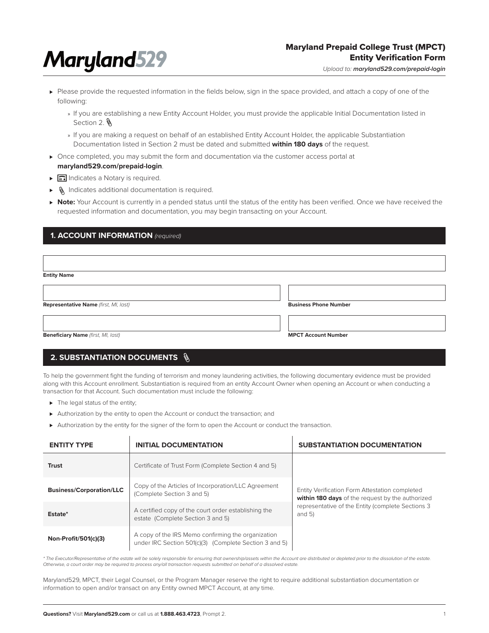# **Maryland529**

## Maryland Prepaid College Trust (MPCT) Entity Verification Form

*Upload to: maryland529.com/prepaid-login*

- ► Please provide the requested information in the fields below, sign in the space provided, and attach a copy of one of the following:
	- » If you are establishing a new Entity Account Holder, you must provide the applicable Initial Documentation listed in Section 2.
	- » If you are making a request on behalf of an established Entity Account Holder, the applicable Substantiation Documentation listed in Section 2 must be dated and submitted **within 180 days** of the request.
- ► Once completed, you may submit the form and documentation via the customer access portal at **maryland529.com/prepaid-login**.
- ► all Indicates a Notary is required.
- ► Sumdicates additional documentation is required.
- ► Note: Your Account is currently in a pended status until the status of the entity has been verified. Once we have received the requested information and documentation, you may begin transacting on your Account.

## **1. ACCOUNT INFORMATION** *(required)*

| <b>Entity Name</b>                    |                              |
|---------------------------------------|------------------------------|
|                                       |                              |
| Representative Name (first, MI, last) | <b>Business Phone Number</b> |
|                                       |                              |
| Beneficiary Name (first, MI, last)    | <b>MPCT Account Number</b>   |

# **2. SUBSTANTIATION DOCUMENTS**

To help the government fight the funding of terrorism and money laundering activities, the following documentary evidence must be provided along with this Account enrollment. Substantiation is required from an entity Account Owner when opening an Account or when conducting a transaction for that Account. Such documentation must include the following:

- ► The legal status of the entity;
- ► Authorization by the entity to open the Account or conduct the transaction; and
- ► Authorization by the entity for the signer of the form to open the Account or conduct the transaction.

| <b>INITIAL DOCUMENTATION</b><br><b>ENTITY TYPE</b>                                                                                   |                                                                                                                                                                                         | <b>SUBSTANTIATION DOCUMENTATION</b>                            |  |
|--------------------------------------------------------------------------------------------------------------------------------------|-----------------------------------------------------------------------------------------------------------------------------------------------------------------------------------------|----------------------------------------------------------------|--|
| <b>Trust</b>                                                                                                                         | Certificate of Trust Form (Complete Section 4 and 5)                                                                                                                                    |                                                                |  |
| <b>Business/Corporation/LLC</b>                                                                                                      | Copy of the Articles of Incorporation/LLC Agreement<br>Entity Verification Form Attestation completed<br>(Complete Section 3 and 5)<br>within 180 days of the request by the authorized |                                                                |  |
| Estate*                                                                                                                              | A certified copy of the court order establishing the<br>estate (Complete Section 3 and 5)                                                                                               | representative of the Entity (complete Sections 3<br>and $5$ ) |  |
| A copy of the IRS Memo confirming the organization<br>Non-Profit/501(c)(3)<br>under IRC Section 501(c)(3) (Complete Section 3 and 5) |                                                                                                                                                                                         |                                                                |  |

*\* The Executor/Representative of the estate will be solely responsible for ensuring that ownership/assets within the Account are distributed or depleted prior to the dissolution of the estate. Otherwise, a court order may be required to process any/all transaction requests submitted on behalf of a dissolved estate.*

Maryland529, MPCT, their Legal Counsel, or the Program Manager reserve the right to require additional substantiation documentation or information to open and/or transact on any Entity owned MPCT Account, at any time.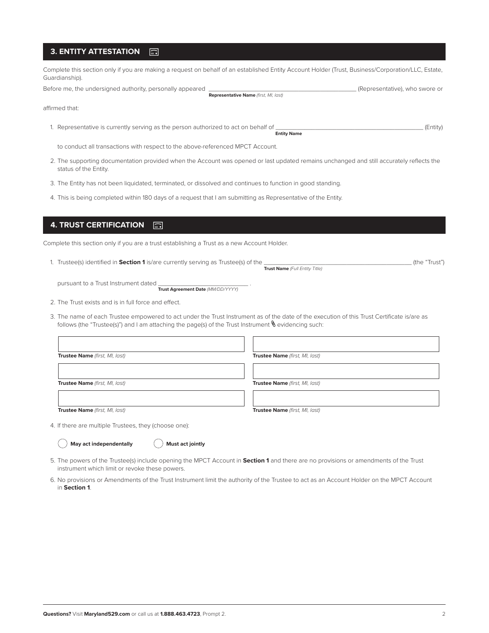#### **3. ENTITY ATTESTATION**  $\Box$

Complete this section only if you are making a request on behalf of an established Entity Account Holder (Trust, Business/Corporation/LLC, Estate, Guardianship).

Before me, the undersigned authority, personally appeared \_\_\_\_\_\_\_\_\_\_\_\_\_\_\_\_\_\_\_\_\_\_\_\_\_\_\_\_\_\_\_\_\_\_\_\_\_\_\_\_\_ (Representative), who swore or

**Representative Name** *(first, MI, last)*

affirmed that:

1. Representative is currently serving as the person authorized to act on behalf of \_\_\_\_\_\_\_\_\_\_\_\_\_\_\_\_\_\_\_\_\_\_\_\_\_\_\_\_\_\_\_\_\_\_\_\_\_\_\_\_\_ (Entity) **Entity Name**

to conduct all transactions with respect to the above-referenced MPCT Account.

- 2. The supporting documentation provided when the Account was opened or last updated remains unchanged and still accurately reflects the status of the Entity.
- 3. The Entity has not been liquidated, terminated, or dissolved and continues to function in good standing.
- 4. This is being completed within 180 days of a request that I am submitting as Representative of the Entity.

#### **4. TRUST CERTIFICATION**  $\overline{\mathbb{D}}$

Complete this section only if you are a trust establishing a Trust as a new Account Holder.

| 1. Trustee(s) identified in <b>Section 1</b> is/are currently serving as Trustee(s) of the | (the "Trust") |  |
|--------------------------------------------------------------------------------------------|---------------|--|
| Trust Name (Full Entity Title)                                                             |               |  |

pursuant to a Trust Instrument dated **Trust Agreement Date** *(MM/DD/YYYY)*

2. The Trust exists and is in full force and effect.

3. The name of each Trustee empowered to act under the Trust Instrument as of the date of the execution of this Trust Certificate is/are as follows (the "Trustee(s)") and I am attaching the page(s) of the Trust Instrument  $\mathcal{N}$  evidencing such:

| Trustee Name (first, MI, last) | Trustee Name (first, MI, last) |
|--------------------------------|--------------------------------|
|                                |                                |
| Trustee Name (first, MI, last) | Trustee Name (first, MI, last) |
|                                |                                |
| Trustee Name (first, MI, last) | Trustee Name (first, MI, last) |

4. If there are multiple Trustees, they (choose one):

**May act independentally**  $\qquad\qquad\qquad\qquad$  **Must act jointly** 

- 5. The powers of the Trustee(s) include opening the MPCT Account in **Section 1** and there are no provisions or amendments of the Trust instrument which limit or revoke these powers.
- 6. No provisions or Amendments of the Trust Instrument limit the authority of the Trustee to act as an Account Holder on the MPCT Account in **Section 1**.